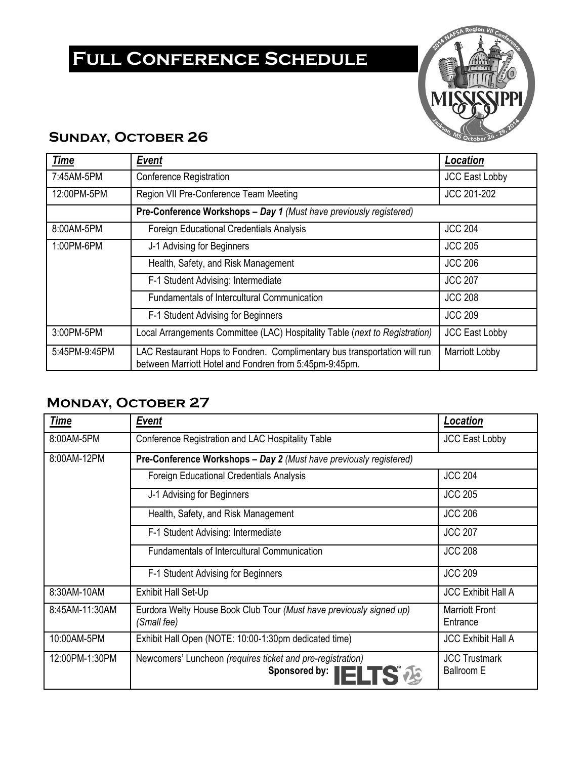# **Full Conference Schedule**



## **Sunday, October 26**

| <b>Time</b>   | <b>Event</b>                                                                                                                                          | Location              |  |  |
|---------------|-------------------------------------------------------------------------------------------------------------------------------------------------------|-----------------------|--|--|
| 7:45AM-5PM    | Conference Registration                                                                                                                               | <b>JCC East Lobby</b> |  |  |
| 12:00PM-5PM   | Region VII Pre-Conference Team Meeting                                                                                                                | JCC 201-202           |  |  |
|               | Pre-Conference Workshops - Day 1 (Must have previously registered)                                                                                    |                       |  |  |
| 8:00AM-5PM    | <b>JCC 204</b><br><b>Foreign Educational Credentials Analysis</b>                                                                                     |                       |  |  |
| 1:00PM-6PM    | J-1 Advising for Beginners                                                                                                                            | <b>JCC 205</b>        |  |  |
|               | Health, Safety, and Risk Management                                                                                                                   | <b>JCC 206</b>        |  |  |
|               | F-1 Student Advising: Intermediate                                                                                                                    | <b>JCC 207</b>        |  |  |
|               | <b>Fundamentals of Intercultural Communication</b>                                                                                                    | <b>JCC 208</b>        |  |  |
|               | F-1 Student Advising for Beginners                                                                                                                    | <b>JCC 209</b>        |  |  |
| 3:00PM-5PM    | Local Arrangements Committee (LAC) Hospitality Table (next to Registration)<br><b>JCC East Lobby</b>                                                  |                       |  |  |
| 5:45PM-9:45PM | LAC Restaurant Hops to Fondren. Complimentary bus transportation will run<br>Marriott Lobby<br>between Marriott Hotel and Fondren from 5:45pm-9:45pm. |                       |  |  |

## **Monday, October 27**

| <b>Time</b>    | <b>Event</b>                                                                             | Location                                  |  |  |
|----------------|------------------------------------------------------------------------------------------|-------------------------------------------|--|--|
| 8:00AM-5PM     | Conference Registration and LAC Hospitality Table                                        | <b>JCC East Lobby</b>                     |  |  |
| 8:00AM-12PM    | Pre-Conference Workshops - Day 2 (Must have previously registered)                       |                                           |  |  |
|                | <b>Foreign Educational Credentials Analysis</b>                                          | <b>JCC 204</b>                            |  |  |
|                | J-1 Advising for Beginners                                                               | <b>JCC 205</b>                            |  |  |
|                | Health, Safety, and Risk Management                                                      | <b>JCC 206</b>                            |  |  |
|                | F-1 Student Advising: Intermediate                                                       | <b>JCC 207</b>                            |  |  |
|                | <b>Fundamentals of Intercultural Communication</b>                                       | <b>JCC 208</b>                            |  |  |
|                | F-1 Student Advising for Beginners                                                       | <b>JCC 209</b>                            |  |  |
| 8:30AM-10AM    | Exhibit Hall Set-Up                                                                      | <b>JCC Exhibit Hall A</b>                 |  |  |
| 8:45AM-11:30AM | Eurdora Welty House Book Club Tour (Must have previously signed up)<br>(Small fee)       | <b>Marriott Front</b><br>Entrance         |  |  |
| 10:00AM-5PM    | Exhibit Hall Open (NOTE: 10:00-1:30pm dedicated time)<br><b>JCC Exhibit Hall A</b>       |                                           |  |  |
| 12:00PM-1:30PM | Newcomers' Luncheon (requires ticket and pre-registration)<br>Sponsored by: <b>IELTS</b> | <b>JCC Trustmark</b><br><b>Ballroom E</b> |  |  |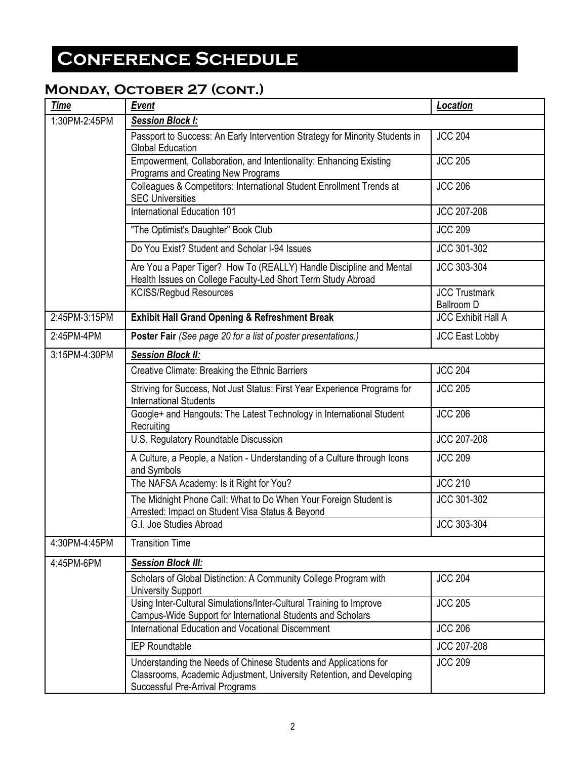## **Monday, October 27 (cont.)**

| <b>Time</b>   | <b>Event</b>                                                                                                                                                                 | <b>Location</b>                           |  |
|---------------|------------------------------------------------------------------------------------------------------------------------------------------------------------------------------|-------------------------------------------|--|
| 1:30PM-2:45PM | <b>Session Block I:</b>                                                                                                                                                      |                                           |  |
|               | Passport to Success: An Early Intervention Strategy for Minority Students in<br><b>Global Education</b>                                                                      | <b>JCC 204</b>                            |  |
|               | Empowerment, Collaboration, and Intentionality: Enhancing Existing<br>Programs and Creating New Programs                                                                     | <b>JCC 205</b>                            |  |
|               | Colleagues & Competitors: International Student Enrollment Trends at<br><b>SEC Universities</b>                                                                              | <b>JCC 206</b>                            |  |
|               | International Education 101                                                                                                                                                  | JCC 207-208                               |  |
|               | "The Optimist's Daughter" Book Club                                                                                                                                          | <b>JCC 209</b>                            |  |
|               | Do You Exist? Student and Scholar I-94 Issues                                                                                                                                | JCC 301-302                               |  |
|               | Are You a Paper Tiger? How To (REALLY) Handle Discipline and Mental<br>Health Issues on College Faculty-Led Short Term Study Abroad                                          | JCC 303-304                               |  |
|               | <b>KCISS/Regbud Resources</b>                                                                                                                                                | <b>JCC Trustmark</b><br><b>Ballroom D</b> |  |
| 2:45PM-3:15PM | <b>Exhibit Hall Grand Opening &amp; Refreshment Break</b>                                                                                                                    | <b>JCC Exhibit Hall A</b>                 |  |
| 2:45PM-4PM    | Poster Fair (See page 20 for a list of poster presentations.)                                                                                                                | <b>JCC East Lobby</b>                     |  |
| 3:15PM-4:30PM | <b>Session Block II:</b>                                                                                                                                                     |                                           |  |
|               | Creative Climate: Breaking the Ethnic Barriers                                                                                                                               | <b>JCC 204</b>                            |  |
|               | Striving for Success, Not Just Status: First Year Experience Programs for<br><b>International Students</b>                                                                   | <b>JCC 205</b>                            |  |
|               | Google+ and Hangouts: The Latest Technology in International Student<br>Recruiting                                                                                           | <b>JCC 206</b>                            |  |
|               | U.S. Regulatory Roundtable Discussion                                                                                                                                        | <b>JCC 207-208</b>                        |  |
|               | A Culture, a People, a Nation - Understanding of a Culture through Icons<br>and Symbols                                                                                      | <b>JCC 209</b>                            |  |
|               | The NAFSA Academy: Is it Right for You?                                                                                                                                      | <b>JCC 210</b>                            |  |
|               | The Midnight Phone Call: What to Do When Your Foreign Student is<br>Arrested: Impact on Student Visa Status & Beyond                                                         | JCC 301-302                               |  |
|               | G.I. Joe Studies Abroad                                                                                                                                                      | JCC 303-304                               |  |
| 4:30PM-4:45PM | <b>Transition Time</b>                                                                                                                                                       |                                           |  |
| 4:45PM-6PM    | <b>Session Block III:</b>                                                                                                                                                    |                                           |  |
|               | Scholars of Global Distinction: A Community College Program with<br><b>University Support</b>                                                                                | <b>JCC 204</b>                            |  |
|               | Using Inter-Cultural Simulations/Inter-Cultural Training to Improve<br>Campus-Wide Support for International Students and Scholars                                           | <b>JCC 205</b>                            |  |
|               | International Education and Vocational Discernment                                                                                                                           | <b>JCC 206</b>                            |  |
|               | <b>IEP Roundtable</b>                                                                                                                                                        | JCC 207-208                               |  |
|               | Understanding the Needs of Chinese Students and Applications for<br>Classrooms, Academic Adjustment, University Retention, and Developing<br>Successful Pre-Arrival Programs | <b>JCC 209</b>                            |  |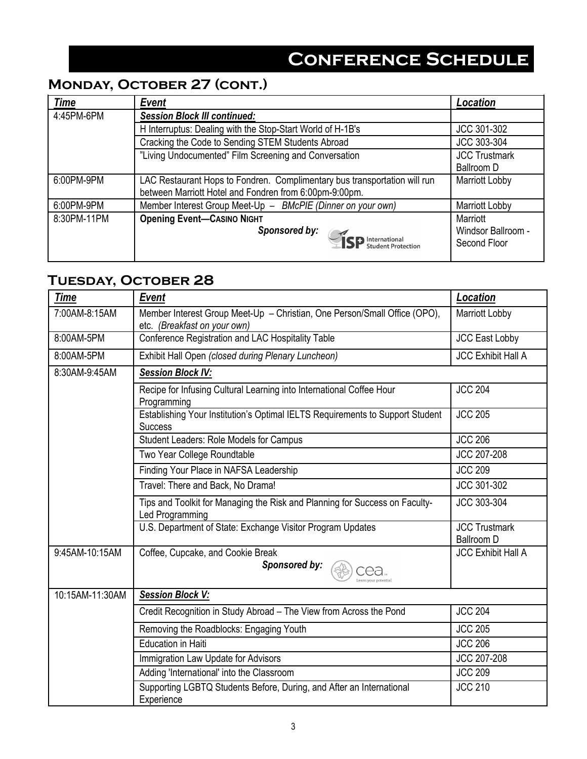# **Monday, October 27 (cont.)**

| <b>Time</b> | <b>Event</b>                                                              | Location              |
|-------------|---------------------------------------------------------------------------|-----------------------|
| 4:45PM-6PM  | <b>Session Block III continued:</b>                                       |                       |
|             | H Interruptus: Dealing with the Stop-Start World of H-1B's                | JCC 301-302           |
|             | Cracking the Code to Sending STEM Students Abroad                         | JCC 303-304           |
|             | "Living Undocumented" Film Screening and Conversation                     | <b>JCC Trustmark</b>  |
|             |                                                                           | <b>Ballroom D</b>     |
| 6:00PM-9PM  | LAC Restaurant Hops to Fondren. Complimentary bus transportation will run |                       |
|             | between Marriott Hotel and Fondren from 6:00pm-9:00pm.                    |                       |
| 6:00PM-9PM  | Member Interest Group Meet-Up - BMcPIE (Dinner on your own)               | <b>Marriott Lobby</b> |
| 8:30PM-11PM | <b>Opening Event-CASINO NIGHT</b>                                         | Marriott              |
|             | Sponsored by:                                                             | Windsor Ballroom -    |
|             | <b>SP</b> International                                                   | Second Floor          |
|             |                                                                           |                       |

## **Tuesday, October 28**

| <b>Time</b>     | <b>Event</b>                                                                                              | Location                                  |
|-----------------|-----------------------------------------------------------------------------------------------------------|-------------------------------------------|
| 7:00AM-8:15AM   | Member Interest Group Meet-Up - Christian, One Person/Small Office (OPO),<br>etc. (Breakfast on your own) | <b>Marriott Lobby</b>                     |
| 8:00AM-5PM      | Conference Registration and LAC Hospitality Table                                                         | <b>JCC East Lobby</b>                     |
| 8:00AM-5PM      | Exhibit Hall Open (closed during Plenary Luncheon)                                                        | <b>JCC Exhibit Hall A</b>                 |
| 8:30AM-9:45AM   | <b>Session Block IV:</b>                                                                                  |                                           |
|                 | Recipe for Infusing Cultural Learning into International Coffee Hour<br>Programming                       | <b>JCC 204</b>                            |
|                 | Establishing Your Institution's Optimal IELTS Requirements to Support Student<br><b>Success</b>           | <b>JCC 205</b>                            |
|                 | Student Leaders: Role Models for Campus                                                                   | <b>JCC 206</b>                            |
|                 | Two Year College Roundtable                                                                               | JCC 207-208                               |
|                 | Finding Your Place in NAFSA Leadership                                                                    | <b>JCC 209</b>                            |
|                 | Travel: There and Back, No Drama!                                                                         | JCC 301-302                               |
|                 | Tips and Toolkit for Managing the Risk and Planning for Success on Faculty-<br>Led Programming            | JCC 303-304                               |
|                 | U.S. Department of State: Exchange Visitor Program Updates                                                | <b>JCC Trustmark</b><br><b>Ballroom D</b> |
| 9:45AM-10:15AM  | Coffee, Cupcake, and Cookie Break<br>Sponsored by:<br>ea                                                  | <b>JCC Exhibit Hall A</b>                 |
| 10:15AM-11:30AM | <b>Session Block V:</b>                                                                                   |                                           |
|                 | Credit Recognition in Study Abroad - The View from Across the Pond                                        | <b>JCC 204</b>                            |
|                 | Removing the Roadblocks: Engaging Youth                                                                   | <b>JCC 205</b>                            |
|                 | <b>Education in Haiti</b>                                                                                 | <b>JCC 206</b>                            |
|                 | Immigration Law Update for Advisors                                                                       | JCC 207-208                               |
|                 | Adding 'International' into the Classroom                                                                 | <b>JCC 209</b>                            |
|                 | Supporting LGBTQ Students Before, During, and After an International<br>Experience                        | <b>JCC 210</b>                            |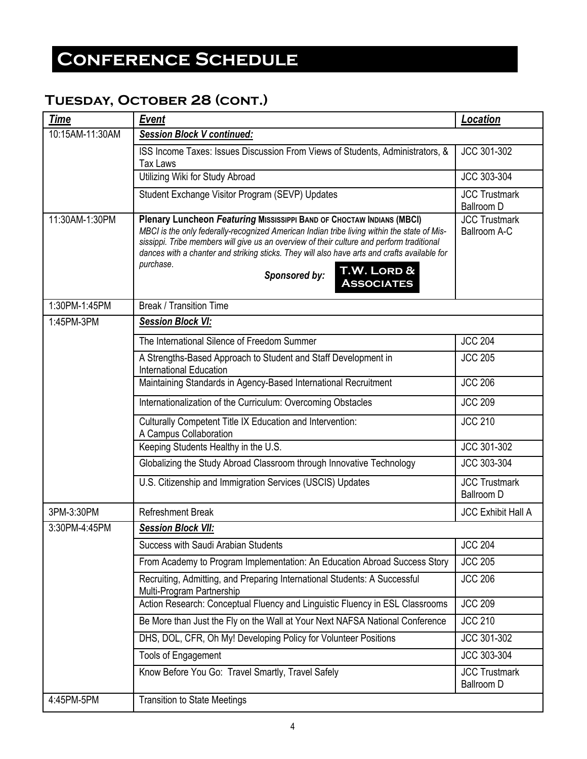## **Tuesday, October 28 (cont.)**

| <b>Time</b>     | <b>Event</b>                                                                                                                                                                                                                                                                                                                                                                                                                        | Location                                  |
|-----------------|-------------------------------------------------------------------------------------------------------------------------------------------------------------------------------------------------------------------------------------------------------------------------------------------------------------------------------------------------------------------------------------------------------------------------------------|-------------------------------------------|
| 10:15AM-11:30AM | <b>Session Block V continued:</b>                                                                                                                                                                                                                                                                                                                                                                                                   |                                           |
|                 | ISS Income Taxes: Issues Discussion From Views of Students, Administrators, &<br><b>Tax Laws</b>                                                                                                                                                                                                                                                                                                                                    | JCC 301-302                               |
|                 | Utilizing Wiki for Study Abroad                                                                                                                                                                                                                                                                                                                                                                                                     | JCC 303-304                               |
|                 | Student Exchange Visitor Program (SEVP) Updates                                                                                                                                                                                                                                                                                                                                                                                     | <b>JCC Trustmark</b><br><b>Ballroom D</b> |
| 11:30AM-1:30PM  | Plenary Luncheon Featuring MISSISSIPPI BAND OF CHOCTAW INDIANS (MBCI)<br>MBCI is the only federally-recognized American Indian tribe living within the state of Mis-<br>sissippi. Tribe members will give us an overview of their culture and perform traditional<br>dances with a chanter and striking sticks. They will also have arts and crafts available for<br>purchase.<br>T.W. LORD &<br>Sponsored by:<br><b>ASSOCIATES</b> | <b>JCC Trustmark</b><br>Ballroom A-C      |
| 1:30PM-1:45PM   | <b>Break / Transition Time</b>                                                                                                                                                                                                                                                                                                                                                                                                      |                                           |
| 1:45PM-3PM      | <b>Session Block VI:</b>                                                                                                                                                                                                                                                                                                                                                                                                            |                                           |
|                 | The International Silence of Freedom Summer                                                                                                                                                                                                                                                                                                                                                                                         | <b>JCC 204</b>                            |
|                 | A Strengths-Based Approach to Student and Staff Development in<br>International Education                                                                                                                                                                                                                                                                                                                                           | <b>JCC 205</b>                            |
|                 | Maintaining Standards in Agency-Based International Recruitment                                                                                                                                                                                                                                                                                                                                                                     | <b>JCC 206</b>                            |
|                 | Internationalization of the Curriculum: Overcoming Obstacles                                                                                                                                                                                                                                                                                                                                                                        | <b>JCC 209</b>                            |
|                 | Culturally Competent Title IX Education and Intervention:<br>A Campus Collaboration                                                                                                                                                                                                                                                                                                                                                 |                                           |
|                 | Keeping Students Healthy in the U.S.                                                                                                                                                                                                                                                                                                                                                                                                | JCC 301-302                               |
|                 | Globalizing the Study Abroad Classroom through Innovative Technology                                                                                                                                                                                                                                                                                                                                                                | JCC 303-304                               |
|                 | U.S. Citizenship and Immigration Services (USCIS) Updates                                                                                                                                                                                                                                                                                                                                                                           | <b>JCC Trustmark</b><br><b>Ballroom D</b> |
| 3PM-3:30PM      | <b>Refreshment Break</b>                                                                                                                                                                                                                                                                                                                                                                                                            | <b>JCC Exhibit Hall A</b>                 |
| 3:30PM-4:45PM   | <b>Session Block VII:</b>                                                                                                                                                                                                                                                                                                                                                                                                           |                                           |
|                 | Success with Saudi Arabian Students                                                                                                                                                                                                                                                                                                                                                                                                 | <b>JCC 204</b>                            |
|                 | From Academy to Program Implementation: An Education Abroad Success Story                                                                                                                                                                                                                                                                                                                                                           | <b>JCC 205</b>                            |
|                 | Recruiting, Admitting, and Preparing International Students: A Successful<br>Multi-Program Partnership                                                                                                                                                                                                                                                                                                                              | <b>JCC 206</b>                            |
|                 | Action Research: Conceptual Fluency and Linguistic Fluency in ESL Classrooms                                                                                                                                                                                                                                                                                                                                                        | <b>JCC 209</b>                            |
|                 | Be More than Just the Fly on the Wall at Your Next NAFSA National Conference                                                                                                                                                                                                                                                                                                                                                        | <b>JCC 210</b>                            |
|                 | DHS, DOL, CFR, Oh My! Developing Policy for Volunteer Positions                                                                                                                                                                                                                                                                                                                                                                     | JCC 301-302                               |
|                 | Tools of Engagement                                                                                                                                                                                                                                                                                                                                                                                                                 | JCC 303-304                               |
|                 | Know Before You Go: Travel Smartly, Travel Safely                                                                                                                                                                                                                                                                                                                                                                                   | <b>JCC Trustmark</b><br><b>Ballroom D</b> |
| 4:45PM-5PM      | <b>Transition to State Meetings</b>                                                                                                                                                                                                                                                                                                                                                                                                 |                                           |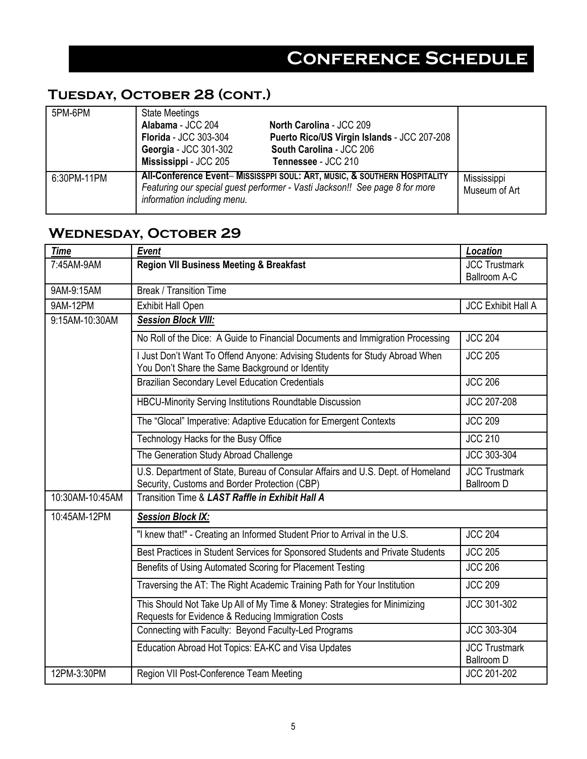## **Tuesday, October 28 (cont.)**

| 5PM-6PM     | <b>State Meetings</b>                                                                                                                                                                   |                                             |                              |
|-------------|-----------------------------------------------------------------------------------------------------------------------------------------------------------------------------------------|---------------------------------------------|------------------------------|
|             | Alabama - JCC 204                                                                                                                                                                       | North Carolina - JCC 209                    |                              |
|             | <b>Florida</b> - JCC 303-304                                                                                                                                                            | Puerto Rico/US Virgin Islands - JCC 207-208 |                              |
|             | Georgia - JCC 301-302                                                                                                                                                                   | South Carolina - JCC 206                    |                              |
|             | Mississippi - JCC 205                                                                                                                                                                   | Tennessee - JCC 210                         |                              |
| 6:30PM-11PM | All-Conference Event- MISSISSPPI SOUL: ART, MUSIC, & SOUTHERN HOSPITALITY<br>Featuring our special guest performer - Vasti Jackson!! See page 8 for more<br>information including menu. |                                             | Mississippi<br>Museum of Art |

## **Wednesday, October 29**

| <b>Time</b>     | <b>Event</b>                                                                                                                     | Location                                  |  |
|-----------------|----------------------------------------------------------------------------------------------------------------------------------|-------------------------------------------|--|
| 7:45AM-9AM      | <b>Region VII Business Meeting &amp; Breakfast</b>                                                                               | <b>JCC Trustmark</b><br>Ballroom A-C      |  |
| 9AM-9:15AM      | <b>Break / Transition Time</b>                                                                                                   |                                           |  |
| 9AM-12PM        | Exhibit Hall Open                                                                                                                | <b>JCC Exhibit Hall A</b>                 |  |
| 9:15AM-10:30AM  | <b>Session Block VIII:</b>                                                                                                       |                                           |  |
|                 | No Roll of the Dice: A Guide to Financial Documents and Immigration Processing                                                   | <b>JCC 204</b>                            |  |
|                 | I Just Don't Want To Offend Anyone: Advising Students for Study Abroad When<br>You Don't Share the Same Background or Identity   | <b>JCC 205</b>                            |  |
|                 | <b>Brazilian Secondary Level Education Credentials</b>                                                                           | <b>JCC 206</b>                            |  |
|                 | HBCU-Minority Serving Institutions Roundtable Discussion                                                                         | JCC 207-208                               |  |
|                 | The "Glocal" Imperative: Adaptive Education for Emergent Contexts                                                                | <b>JCC 209</b>                            |  |
|                 | Technology Hacks for the Busy Office                                                                                             | <b>JCC 210</b>                            |  |
|                 | The Generation Study Abroad Challenge                                                                                            | JCC 303-304                               |  |
|                 | U.S. Department of State, Bureau of Consular Affairs and U.S. Dept. of Homeland<br>Security, Customs and Border Protection (CBP) | <b>JCC Trustmark</b><br><b>Ballroom D</b> |  |
| 10:30AM-10:45AM | Transition Time & LAST Raffle in Exhibit Hall A                                                                                  |                                           |  |
| 10:45AM-12PM    | <b>Session Block IX:</b>                                                                                                         |                                           |  |
|                 | "I knew that!" - Creating an Informed Student Prior to Arrival in the U.S.                                                       | <b>JCC 204</b>                            |  |
|                 | Best Practices in Student Services for Sponsored Students and Private Students                                                   | <b>JCC 205</b>                            |  |
|                 | Benefits of Using Automated Scoring for Placement Testing                                                                        | <b>JCC 206</b>                            |  |
|                 | Traversing the AT: The Right Academic Training Path for Your Institution                                                         | <b>JCC 209</b>                            |  |
|                 | This Should Not Take Up All of My Time & Money: Strategies for Minimizing<br>Requests for Evidence & Reducing Immigration Costs  | JCC 301-302                               |  |
|                 | Connecting with Faculty: Beyond Faculty-Led Programs                                                                             | JCC 303-304                               |  |
|                 | Education Abroad Hot Topics: EA-KC and Visa Updates                                                                              | <b>JCC Trustmark</b><br><b>Ballroom D</b> |  |
| 12PM-3:30PM     | Region VII Post-Conference Team Meeting                                                                                          | JCC 201-202                               |  |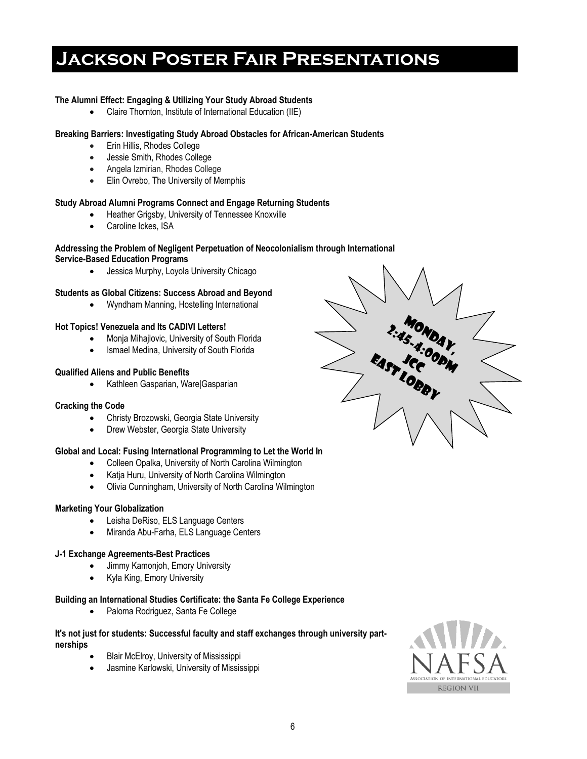# **Jackson Poster Fair Presentations**

#### **The Alumni Effect: Engaging & Utilizing Your Study Abroad Students**

Claire Thornton, Institute of International Education (IIE)

#### **Breaking Barriers: Investigating Study Abroad Obstacles for African-American Students**

- Erin Hillis, Rhodes College
- Jessie Smith, Rhodes College
- Angela Izmirian, Rhodes College
- **Elin Ovrebo, The University of Memphis**

#### **Study Abroad Alumni Programs Connect and Engage Returning Students**

- Heather Grigsby, University of Tennessee Knoxville
- Caroline Ickes, ISA

#### **Addressing the Problem of Negligent Perpetuation of Neocolonialism through International Service-Based Education Programs**

Jessica Murphy, Loyola University Chicago

#### **Students as Global Citizens: Success Abroad and Beyond**

Wyndham Manning, Hostelling International

#### **Hot Topics! Venezuela and Its CADIVI Letters!**

- Monja Mihajlovic, University of South Florida
- Ismael Medina, University of South Florida

#### **Qualified Aliens and Public Benefits**

Kathleen Gasparian, Ware|Gasparian

#### **Cracking the Code**

- Christy Brozowski, Georgia State University
- Drew Webster, Georgia State University

#### **Global and Local: Fusing International Programming to Let the World In**

- Colleen Opalka, University of North Carolina Wilmington
- Katja Huru, University of North Carolina Wilmington
- Olivia Cunningham, University of North Carolina Wilmington

#### **Marketing Your Globalization**

- Leisha DeRiso, ELS Language Centers
- Miranda Abu-Farha, ELS Language Centers

#### **J-1 Exchange Agreements-Best Practices**

- Jimmy Kamonjoh, Emory University
- Kyla King, Emory University

#### **Building an International Studies Certificate: the Santa Fe College Experience**

Paloma Rodriguez, Santa Fe College

#### **It's not just for students: Successful faculty and staff exchanges through university partnerships**

- Blair McElroy, University of Mississippi
- Jasmine Karlowski, University of Mississippi



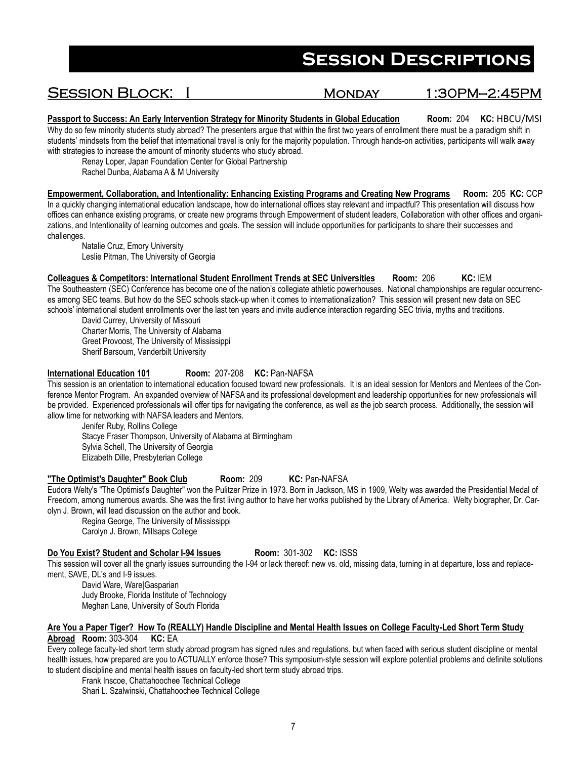### SESSION BLOCK: I MONDAY 1:30PM-2:45PM

**Passport to Success: An Early Intervention Strategy for Minority Students in Global Education Room: 204 KC: HBCU/MSI** Why do so few minority students study abroad? The presenters argue that within the first two years of enrollment there must be a paradigm shift in students' mindsets from the belief that international travel is only for the majority population. Through hands-on activities, participants will walk away with strategies to increase the amount of minority students who study abroad.

Renay Loper, Japan Foundation Center for Global Partnership

Rachel Dunba, Alabama A & M University

**Empowerment, Collaboration, and Intentionality: Enhancing Existing Programs and Creating New Programs Room:** 205 **KC:** CCP In a quickly changing international education landscape, how do international offices stay relevant and impactful? This presentation will discuss how offices can enhance existing programs, or create new programs through Empowerment of student leaders, Collaboration with other offices and organizations, and Intentionality of learning outcomes and goals. The session will include opportunities for participants to share their successes and challenges.

 Natalie Cruz, Emory University Leslie Pitman, The University of Georgia

**Colleagues & Competitors: International Student Enrollment Trends at SEC Universities Room:** 206 **KC:** IEM The Southeastern (SEC) Conference has become one of the nation's collegiate athletic powerhouses. National championships are regular occurrences among SEC teams. But how do the SEC schools stack-up when it comes to internationalization? This session will present new data on SEC schools' international student enrollments over the last ten years and invite audience interaction regarding SEC trivia, myths and traditions.

David Currey, University of Missouri Charter Morris, The University of Alabama Greet Provoost, The University of Mississippi Sherif Barsoum, Vanderbilt University

#### **International Education 101 Room:** 207-208 **KC:** Pan-NAFSA

This session is an orientation to international education focused toward new professionals. It is an ideal session for Mentors and Mentees of the Conference Mentor Program. An expanded overview of NAFSA and its professional development and leadership opportunities for new professionals will be provided. Experienced professionals will offer tips for navigating the conference, as well as the job search process. Additionally, the session will allow time for networking with NAFSA leaders and Mentors.

Jenifer Ruby, Rollins College Stacye Fraser Thompson, University of Alabama at Birmingham Sylvia Schell, The University of Georgia Elizabeth Dille, Presbyterian College

#### **"The Optimist's Daughter" Book Club Room:** 209 **KC:** Pan-NAFSA

Eudora Welty's "The Optimist's Daughter" won the Pulitzer Prize in 1973. Born in Jackson, MS in 1909, Welty was awarded the Presidential Medal of Freedom, among numerous awards. She was the first living author to have her works published by the Library of America. Welty biographer, Dr. Carolyn J. Brown, will lead discussion on the author and book.

Regina George, The University of Mississippi Carolyn J. Brown, Millsaps College

#### **Do You Exist? Student and Scholar I-94 Issues Room:** 301-302 **KC:** ISSS

This session will cover all the gnarly issues surrounding the I-94 or lack thereof: new vs. old, missing data, turning in at departure, loss and replacement, SAVE, DL's and I-9 issues.

David Ware, Ware|Gasparian Judy Brooke, Florida Institute of Technology Meghan Lane, University of South Florida

#### **Are You a Paper Tiger? How To (REALLY) Handle Discipline and Mental Health Issues on College Faculty-Led Short Term Study Abroad Room:** 303-304 **KC:** EA

Every college faculty-led short term study abroad program has signed rules and regulations, but when faced with serious student discipline or mental health issues, how prepared are you to ACTUALLY enforce those? This symposium-style session will explore potential problems and definite solutions to student discipline and mental health issues on faculty-led short term study abroad trips.

Frank Inscoe, Chattahoochee Technical College

Shari L. Szalwinski, Chattahoochee Technical College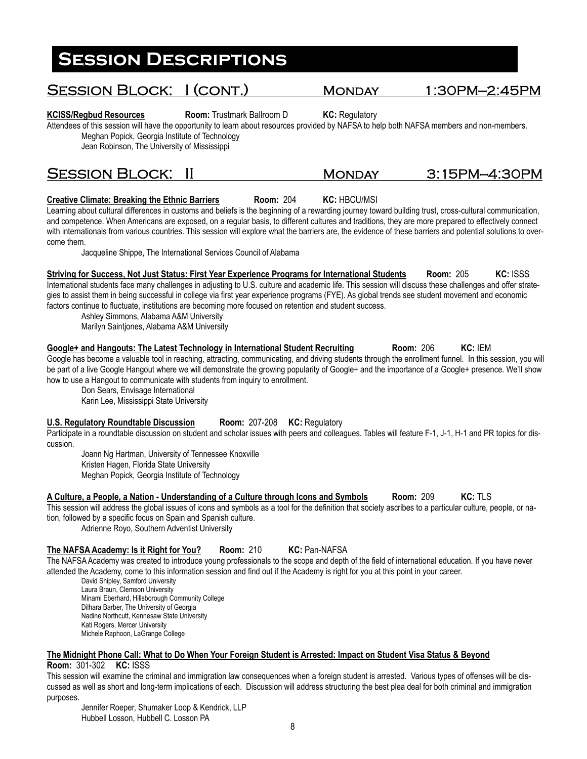# Session Block: I (cont.) Monday 1:30PM—2:45PM

**KCISS/Regbud Resources Room:** Trustmark Ballroom D **KC:** Regulatory

Attendees of this session will have the opportunity to learn about resources provided by NAFSA to help both NAFSA members and non-members. Meghan Popick, Georgia Institute of Technology

Jean Robinson, The University of Mississippi

### SESSION BLOCK: II MONDAY 3:15PM-4:30PM

### **Creative Climate: Breaking the Ethnic Barriers Room: 204 KC: HBCU/MSI**

Learning about cultural differences in customs and beliefs is the beginning of a rewarding journey toward building trust, cross-cultural communication, and competence. When Americans are exposed, on a regular basis, to different cultures and traditions, they are more prepared to effectively connect with internationals from various countries. This session will explore what the barriers are, the evidence of these barriers and potential solutions to overcome them.

Jacqueline Shippe, The International Services Council of Alabama

**Striving for Success, Not Just Status: First Year Experience Programs for International Students Room:** 205 **KC:** ISSS International students face many challenges in adjusting to U.S. culture and academic life. This session will discuss these challenges and offer strategies to assist them in being successful in college via first year experience programs (FYE). As global trends see student movement and economic factors continue to fluctuate, institutions are becoming more focused on retention and student success.

Ashley Simmons, Alabama A&M University

Marilyn Saintjones, Alabama A&M University

### **Google+ and Hangouts: The Latest Technology in International Student Recruiting Room: 206 KC: IEM**

Google has become a valuable tool in reaching, attracting, communicating, and driving students through the enrollment funnel. In this session, you will be part of a live Google Hangout where we will demonstrate the growing popularity of Google+ and the importance of a Google+ presence. We'll show how to use a Hangout to communicate with students from inquiry to enrollment.

Don Sears, Envisage International Karin Lee, Mississippi State University

### **U.S. Regulatory Roundtable Discussion Room:** 207-208 **KC:** Regulatory

Participate in a roundtable discussion on student and scholar issues with peers and colleagues. Tables will feature F-1, J-1, H-1 and PR topics for discussion.

Joann Ng Hartman, University of Tennessee Knoxville Kristen Hagen, Florida State University Meghan Popick, Georgia Institute of Technology

#### **A Culture, a People, a Nation - Understanding of a Culture through Icons and Symbols Room:** 209 **KC:** TLS

This session will address the global issues of icons and symbols as a tool for the definition that society ascribes to a particular culture, people, or nation, followed by a specific focus on Spain and Spanish culture.

Adrienne Royo, Southern Adventist University

### **The NAFSA Academy: Is it Right for You? Room:** 210 **KC:** Pan-NAFSA

The NAFSA Academy was created to introduce young professionals to the scope and depth of the field of international education. If you have never attended the Academy, come to this information session and find out if the Academy is right for you at this point in your career.

David Shipley, Samford University Laura Braun, Clemson University Minami Eberhard, Hillsborough Community College Dilhara Barber, The University of Georgia Nadine Northcutt, Kennesaw State University Kati Rogers, Mercer University Michele Raphoon, LaGrange College

#### **The Midnight Phone Call: What to Do When Your Foreign Student is Arrested: Impact on Student Visa Status & Beyond**

**Room:** 301-302 **KC:** ISSS

This session will examine the criminal and immigration law consequences when a foreign student is arrested. Various types of offenses will be discussed as well as short and long-term implications of each. Discussion will address structuring the best plea deal for both criminal and immigration purposes.

Jennifer Roeper, Shumaker Loop & Kendrick, LLP Hubbell Losson, Hubbell C. Losson PA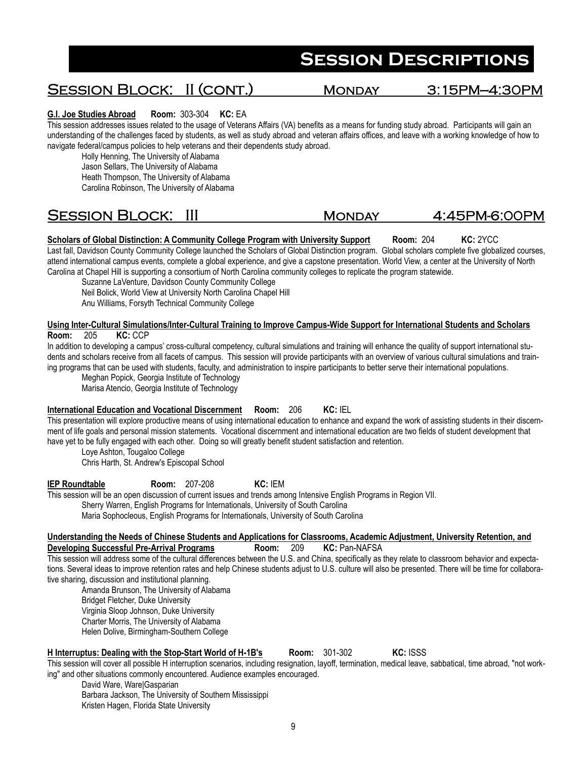## Session Block: II (cont.) Monday 3:15PM—4:30PM

#### **G.I. Joe Studies Abroad Room:** 303-304 **KC:** EA

This session addresses issues related to the usage of Veterans Affairs (VA) benefits as a means for funding study abroad. Participants will gain an understanding of the challenges faced by students, as well as study abroad and veteran affairs offices, and leave with a working knowledge of how to navigate federal/campus policies to help veterans and their dependents study abroad.

Holly Henning, The University of Alabama Jason Sellars, The University of Alabama

Heath Thompson, The University of Alabama Carolina Robinson, The University of Alabama

## SESSION BLOCK: III MONDAY 4:45PM-6:00PM

#### **Scholars of Global Distinction: A Community College Program with University Support Room: 204 KC: 2YCC**

Last fall, Davidson County Community College launched the Scholars of Global Distinction program. Global scholars complete five globalized courses, attend international campus events, complete a global experience, and give a capstone presentation. World View, a center at the University of North Carolina at Chapel Hill is supporting a consortium of North Carolina community colleges to replicate the program statewide.

Suzanne LaVenture, Davidson County Community College Neil Bolick, World View at University North Carolina Chapel Hill

Anu Williams, Forsyth Technical Community College

#### **Using Inter-Cultural Simulations/Inter-Cultural Training to Improve Campus-Wide Support for International Students and Scholars Room:** 205 **KC:** CCP

In addition to developing a campus' cross-cultural competency, cultural simulations and training will enhance the quality of support international students and scholars receive from all facets of campus. This session will provide participants with an overview of various cultural simulations and training programs that can be used with students, faculty, and administration to inspire participants to better serve their international populations.

Meghan Popick, Georgia Institute of Technology

Marisa Atencio, Georgia Institute of Technology

#### **International Education and Vocational Discernment Room:** 206 **KC:** IEL

This presentation will explore productive means of using international education to enhance and expand the work of assisting students in their discernment of life goals and personal mission statements. Vocational discernment and international education are two fields of student development that have yet to be fully engaged with each other. Doing so will greatly benefit student satisfaction and retention.

Loye Ashton, Tougaloo College

Chris Harth, St. Andrew's Episcopal School

**IEP Roundtable Room:** 207-208 **KC:** IEM

This session will be an open discussion of current issues and trends among Intensive English Programs in Region VII. Sherry Warren, English Programs for Internationals, University of South Carolina Maria Sophocleous, English Programs for Internationals, University of South Carolina

#### **Understanding the Needs of Chinese Students and Applications for Classrooms, Academic Adjustment, University Retention, and Developing Successful Pre-Arrival Programs Room: 209 KC: Pan-NAFSA**

This session will address some of the cultural differences between the U.S. and China, specifically as they relate to classroom behavior and expectations. Several ideas to improve retention rates and help Chinese students adjust to U.S. culture will also be presented. There will be time for collaborative sharing, discussion and institutional planning.

Amanda Brunson, The University of Alabama Bridget Fletcher, Duke University Virginia Sloop Johnson, Duke University Charter Morris, The University of Alabama

Helen Dolive, Birmingham-Southern College

#### **H Interruptus: Dealing with the Stop-Start World of H-1B's Room:** 301-302 **KC:** ISSS

This session will cover all possible H interruption scenarios, including resignation, layoff, termination, medical leave, sabbatical, time abroad, "not working" and other situations commonly encountered. Audience examples encouraged.

David Ware, Ware|Gasparian Barbara Jackson, The University of Southern Mississippi Kristen Hagen, Florida State University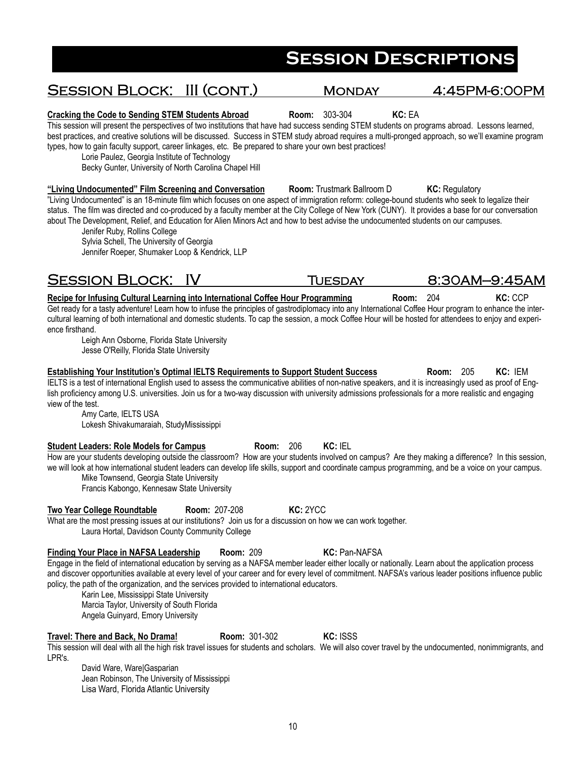# Session Block: III (cont.) Monday 4:45PM-6:00PM

#### **Cracking the Code to Sending STEM Students Abroad Room:** 303-304 **KC:** EA

This session will present the perspectives of two institutions that have had success sending STEM students on programs abroad. Lessons learned, best practices, and creative solutions will be discussed. Success in STEM study abroad requires a multi-pronged approach, so we'll examine program types, how to gain faculty support, career linkages, etc. Be prepared to share your own best practices!

Lorie Paulez, Georgia Institute of Technology

Becky Gunter, University of North Carolina Chapel Hill

**"Living Undocumented" Film Screening and Conversation Room:** Trustmark Ballroom D **KC:** Regulatory "Living Undocumented" is an 18-minute film which focuses on one aspect of immigration reform: college-bound students who seek to legalize their status. The film was directed and co-produced by a faculty member at the City College of New York (CUNY). It provides a base for our conversation about The Development, Relief, and Education for Alien Minors Act and how to best advise the undocumented students on our campuses.

Jenifer Ruby, Rollins College Sylvia Schell, The University of Georgia Jennifer Roeper, Shumaker Loop & Kendrick, LLP

## SESSION BLOCK: IV TUESDAY 8:30AM-9:45AM

**Recipe for Infusing Cultural Learning into International Coffee Hour Programming Room: 204 KC: CCP** Get ready for a tasty adventure! Learn how to infuse the principles of gastrodiplomacy into any International Coffee Hour program to enhance the intercultural learning of both international and domestic students. To cap the session, a mock Coffee Hour will be hosted for attendees to enjoy and experience firsthand.

Leigh Ann Osborne, Florida State University Jesse O'Reilly, Florida State University

**Establishing Your Institution's Optimal IELTS Requirements to Support Student Success Room:** 205 **KC:** IEM IELTS is a test of international English used to assess the communicative abilities of non-native speakers, and it is increasingly used as proof of English proficiency among U.S. universities. Join us for a two-way discussion with university admissions professionals for a more realistic and engaging view of the test.

Amy Carte, IELTS USA Lokesh Shivakumaraiah, StudyMississippi

#### **Student Leaders: Role Models for Campus Room: 206 KC: IEL**

How are your students developing outside the classroom? How are your students involved on campus? Are they making a difference? In this session, we will look at how international student leaders can develop life skills, support and coordinate campus programming, and be a voice on your campus.

Mike Townsend, Georgia State University

Francis Kabongo, Kennesaw State University

#### **Two Year College Roundtable Room:** 207-208 **KC:** 2YCC

What are the most pressing issues at our institutions? Join us for a discussion on how we can work together. Laura Hortal, Davidson County Community College

### **Finding Your Place in NAFSA Leadership Room:** 209 **KC:** Pan-NAFSA

Engage in the field of international education by serving as a NAFSA member leader either locally or nationally. Learn about the application process and discover opportunities available at every level of your career and for every level of commitment. NAFSA's various leader positions influence public policy, the path of the organization, and the services provided to international educators.

Karin Lee, Mississippi State University Marcia Taylor, University of South Florida Angela Guinyard, Emory University

#### **Travel: There and Back, No Drama! Room:** 301-302 **KC:** ISSS

This session will deal with all the high risk travel issues for students and scholars. We will also cover travel by the undocumented, nonimmigrants, and LPR's.

David Ware, Ware|Gasparian Jean Robinson, The University of Mississippi Lisa Ward, Florida Atlantic University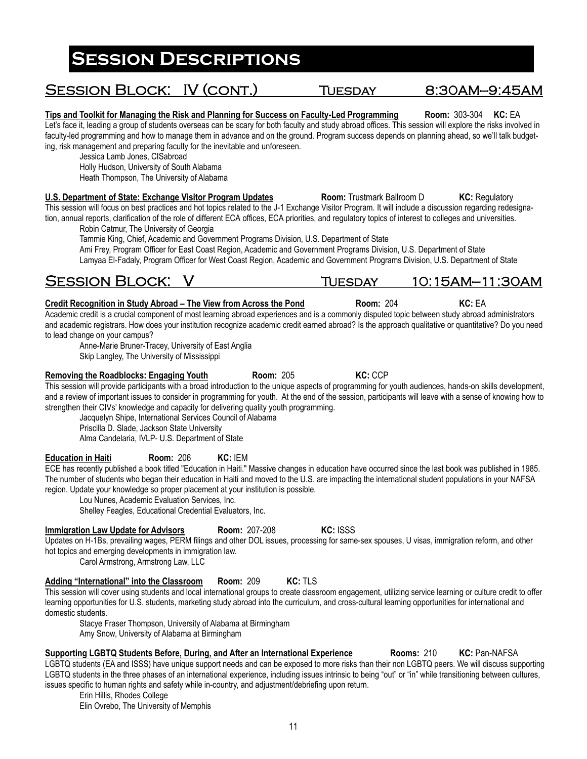# SESSION BLOCK: IV (CONT.) TUESDAY 8:30AM-9:45AM

**Tips and Toolkit for Managing the Risk and Planning for Success on Faculty-Led Programming Room:** 303-304 **KC:** EA Let's face it, leading a group of students overseas can be scary for both faculty and study abroad offices. This session will explore the risks involved in faculty-led programming and how to manage them in advance and on the ground. Program success depends on planning ahead, so we'll talk budgeting, risk management and preparing faculty for the inevitable and unforeseen.

Jessica Lamb Jones, CISabroad

Holly Hudson, University of South Alabama Heath Thompson, The University of Alabama

### **U.S. Department of State: Exchange Visitor Program Updates Room: Trustmark Ballroom D <b>KC: Regulatory** Regulatory

This session will focus on best practices and hot topics related to the J-1 Exchange Visitor Program. It will include a discussion regarding redesignation, annual reports, clarification of the role of different ECA offices, ECA priorities, and regulatory topics of interest to colleges and universities. Robin Catmur, The University of Georgia

Tammie King, Chief, Academic and Government Programs Division, U.S. Department of State

Ami Frey, Program Officer for East Coast Region, Academic and Government Programs Division, U.S. Department of State Lamyaa El-Fadaly, Program Officer for West Coast Region, Academic and Government Programs Division, U.S. Department of State

## Session Block: V Tuesday 10:15AM—11:30AM

### **Credit Recognition in Study Abroad – The View from Across the Pond <b>Room: 204 <b>KC:** EA

Academic credit is a crucial component of most learning abroad experiences and is a commonly disputed topic between study abroad administrators and academic registrars. How does your institution recognize academic credit earned abroad? Is the approach qualitative or quantitative? Do you need to lead change on your campus?

Anne-Marie Bruner-Tracey, University of East Anglia Skip Langley, The University of Mississippi

This session will provide participants with a broad introduction to the unique aspects of programming for youth audiences, hands-on skills development, and a review of important issues to consider in programming for youth. At the end of the session, participants will leave with a sense of knowing how to strengthen their CIVs' knowledge and capacity for delivering quality youth programming.

Jacquelyn Shipe, International Services Council of Alabama

Priscilla D. Slade, Jackson State University

Alma Candelaria, IVLP- U.S. Department of State

**Education in Haiti Room:** 206 **KC:** IEM

ECE has recently published a book titled "Education in Haiti." Massive changes in education have occurred since the last book was published in 1985. The number of students who began their education in Haiti and moved to the U.S. are impacting the international student populations in your NAFSA region. Update your knowledge so proper placement at your institution is possible.

Lou Nunes, Academic Evaluation Services, Inc.

Shelley Feagles, Educational Credential Evaluators, Inc.

### **Immigration Law Update for Advisors Room: 207-208 KC: ISSS**

Updates on H-1Bs, prevailing wages, PERM filings and other DOL issues, processing for same-sex spouses, U visas, immigration reform, and other hot topics and emerging developments in immigration law.

Carol Armstrong, Armstrong Law, LLC

### **Adding "International" into the Classroom Room:** 209 **KC:** TLS

This session will cover using students and local international groups to create classroom engagement, utilizing service learning or culture credit to offer learning opportunities for U.S. students, marketing study abroad into the curriculum, and cross-cultural learning opportunities for international and domestic students.

Stacye Fraser Thompson, University of Alabama at Birmingham Amy Snow, University of Alabama at Birmingham

#### **Supporting LGBTQ Students Before, During, and After an International Experience Rooms:** 210 **KC:** Pan-NAFSA LGBTQ students (EA and ISSS) have unique support needs and can be exposed to more risks than their non LGBTQ peers. We will discuss supporting LGBTQ students in the three phases of an international experience, including issues intrinsic to being "out" or "in" while transitioning between cultures, issues specific to human rights and safety while in-country, and adjustment/debriefing upon return.

Erin Hillis, Rhodes College Elin Ovrebo, The University of Memphis

**Removing the Roadblocks: Engaging Youth Room: 205 <b>KC: CCP**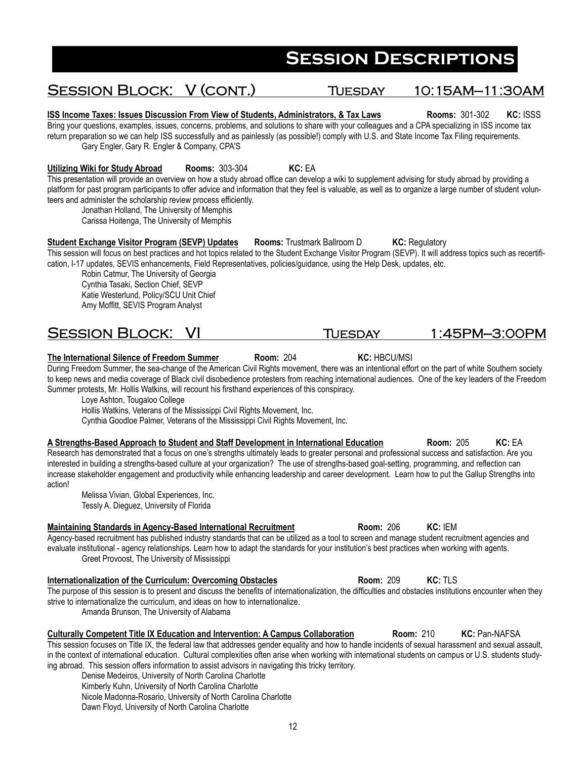# SESSION BLOCK: V (CONT.) TUESDAY 10:15AM-11:30AM

**ISS Income Taxes: Issues Discussion From View of Students, Administrators, & Tax Laws Rooms: 301-302 KC: ISSS** Bring your questions, examples, issues, concerns, problems, and solutions to share with your colleagues and a CPA specializing in ISS income tax return preparation so we can help ISS successfully and as painlessly (as possible!) comply with U.S. and State Income Tax Filing requirements. Gary Engler, Gary R. Engler & Company, CPA'S

**Utilizing Wiki for Study Abroad Rooms:** 303-304 **KC:** EA

This presentation will provide an overview on how a study abroad office can develop a wiki to supplement advising for study abroad by providing a platform for past program participants to offer advice and information that they feel is valuable, as well as to organize a large number of student volunteers and administer the scholarship review process efficiently.

Jonathan Holland, The University of Memphis

Carissa Hoitenga, The University of Memphis

**Student Exchange Visitor Program (SEVP) Updates Rooms: Trustmark Ballroom D KC: Regulatory** This session will focus on best practices and hot topics related to the Student Exchange Visitor Program (SEVP). It will address topics such as recertification, I-17 updates, SEVIS enhancements, Field Representatives, policies/guidance, using the Help Desk, updates, etc.

Robin Catmur, The University of Georgia Cynthia Tasaki, Section Chief, SEVP Katie Westerlund, Policy/SCU Unit Chief Amy Moffitt, SEVIS Program Analyst

## SESSION BLOCK: VI TUESDAY 1:45PM-3:00PM

**The International Silence of Freedom Summer Room:** 204 **KC:** HBCU/MSI

During Freedom Summer, the sea-change of the American Civil Rights movement, there was an intentional effort on the part of white Southern society to keep news and media coverage of Black civil disobedience protesters from reaching international audiences. One of the key leaders of the Freedom Summer protests, Mr. Hollis Watkins, will recount his firsthand experiences of this conspiracy.

Loye Ashton, Tougaloo College

Hollis Watkins, Veterans of the Mississippi Civil Rights Movement, Inc.

Cynthia Goodloe Palmer, Veterans of the Mississippi Civil Rights Movement, Inc.

**A Strengths-Based Approach to Student and Staff Development in International Education Room:** 205 **KC:** EA Research has demonstrated that a focus on one's strengths ultimately leads to greater personal and professional success and satisfaction. Are you interested in building a strengths-based culture at your organization? The use of strengths-based goal-setting, programming, and reflection can increase stakeholder engagement and productivity while enhancing leadership and career development. Learn how to put the Gallup Strengths into action!

Melissa Vivian, Global Experiences, Inc. Tessly A. Dieguez, University of Florida

### **Maintaining Standards in Agency-Based International Recruitment Room: 206 KC: IEM**

Agency-based recruitment has published industry standards that can be utilized as a tool to screen and manage student recruitment agencies and evaluate institutional - agency relationships. Learn how to adapt the standards for your institution's best practices when working with agents. Greet Provoost, The University of Mississippi

#### **Internationalization of the Curriculum: Overcoming Obstacles Room: 209 KC: TLS**

The purpose of this session is to present and discuss the benefits of internationalization, the difficulties and obstacles institutions encounter when they strive to internationalize the curriculum, and ideas on how to internationalize.

Amanda Brunson, The University of Alabama

#### **Culturally Competent Title IX Education and Intervention: A Campus Collaboration Room:** 210 **KC:** Pan-NAFSA

This session focuses on Title IX, the federal law that addresses gender equality and how to handle incidents of sexual harassment and sexual assault, in the context of international education. Cultural complexities often arise when working with international students on campus or U.S. students studying abroad. This session offers information to assist advisors in navigating this tricky territory.

Denise Medeiros, University of North Carolina Charlotte Kimberly Kuhn, University of North Carolina Charlotte Nicole Madonna-Rosario, University of North Carolina Charlotte Dawn Floyd, University of North Carolina Charlotte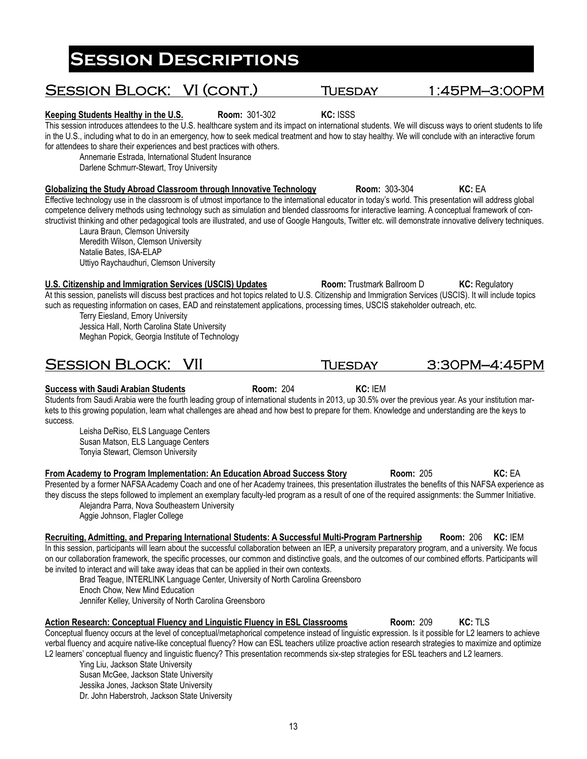# Laura Braun, Clemson University Meredith Wilson, Clemson University Natalie Bates, ISA-ELAP Uttiyo Raychaudhuri, Clemson University **U.S. Citizenship and Immigration Services (USCIS) Updates Room: Trustmark Ballroom D KC: Regulatory** Terry Eiesland, Emory University Jessica Hall, North Carolina State University Meghan Popick, Georgia Institute of Technology **Success with Saudi Arabian Students Room:** 204 **KC:** IEM Students from Saudi Arabia were the fourth leading group of international students in 2013, up 30.5% over the previous year. As your institution markets to this growing population, learn what challenges are ahead and how best to prepare for them. Knowledge and understanding are the keys to Leisha DeRiso, ELS Language Centers Susan Matson, ELS Language Centers Tonyia Stewart, Clemson University **From Academy to Program Implementation: An Education Abroad Success Story Room: 205 <b>KC: EA** Alejandra Parra, Nova Southeastern University Aggie Johnson, Flagler College **Recruiting, Admitting, and Preparing International Students: A Successful Multi-Program Partnership Room:** 206 **KC:** IEM

SESSION BLOCK: VII TUESDAY 3:30PM-4:45PM

for attendees to share their experiences and best practices with others. Annemarie Estrada, International Student Insurance Darlene Schmurr-Stewart, Troy University

in the U.S., including what to do in an emergency, how to seek medical treatment and how to stay healthy. We will conclude with an interactive forum

**Globalizing the Study Abroad Classroom through Innovative Technology Room: 303-304 KC: EA** Effective technology use in the classroom is of utmost importance to the international educator in today's world. This presentation will address global competence delivery methods using technology such as simulation and blended classrooms for interactive learning. A conceptual framework of constructivist thinking and other pedagogical tools are illustrated, and use of Google Hangouts, Twitter etc. will demonstrate innovative delivery techniques.

At this session, panelists will discuss best practices and hot topics related to U.S. Citizenship and Immigration Services (USCIS). It will include topics such as requesting information on cases, EAD and reinstatement applications, processing times, USCIS stakeholder outreach, etc.

success.

Presented by a former NAFSA Academy Coach and one of her Academy trainees, this presentation illustrates the benefits of this NAFSA experience as they discuss the steps followed to implement an exemplary faculty-led program as a result of one of the required assignments: the Summer Initiative.

In this session, participants will learn about the successful collaboration between an IEP, a university preparatory program, and a university. We focus on our collaboration framework, the specific processes, our common and distinctive goals, and the outcomes of our combined efforts. Participants will be invited to interact and will take away ideas that can be applied in their own contexts.

Brad Teague, INTERLINK Language Center, University of North Carolina Greensboro Enoch Chow, New Mind Education Jennifer Kelley, University of North Carolina Greensboro

**Action Research: Conceptual Fluency and Linguistic Fluency in ESL Classrooms Room:** 209 **KC:** TLS Conceptual fluency occurs at the level of conceptual/metaphorical competence instead of linguistic expression. Is it possible for L2 learners to achieve verbal fluency and acquire native-like conceptual fluency? How can ESL teachers utilize proactive action research strategies to maximize and optimize L2 learners' conceptual fluency and linguistic fluency? This presentation recommends six-step strategies for ESL teachers and L2 learners.

Ying Liu, Jackson State University Susan McGee, Jackson State University Jessika Jones, Jackson State University Dr. John Haberstroh, Jackson State University

# **Session Descriptions**

SESSION BLOCK: VI (CONT.) TUESDAY 1:45PM-3:00PM

**Keeping Students Healthy in the U.S. Room:** 301-302 **KC:** ISSS This session introduces attendees to the U.S. healthcare system and its impact on international students. We will discuss ways to orient students to life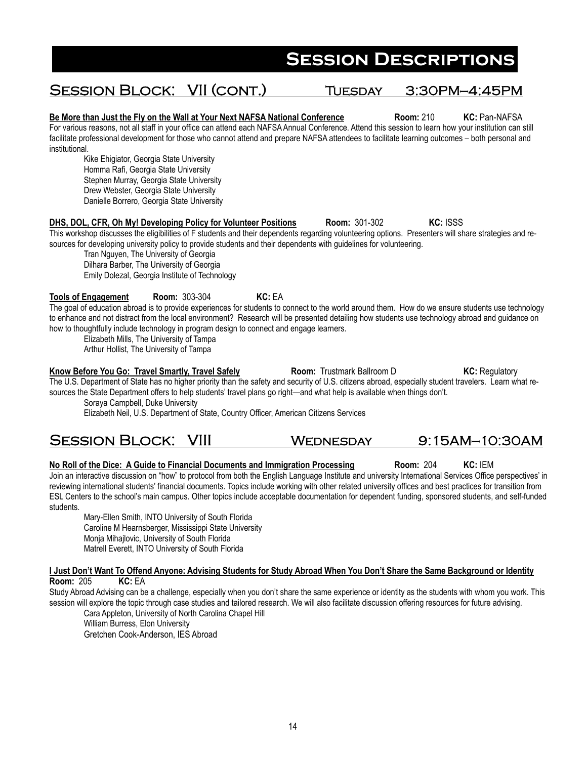## Session Block: VII (cont.) Tuesday 3:30PM—4:45PM

**Be More than Just the Fly on the Wall at Your Next NAFSA National Conference Room:** 210 **KC:** Pan-NAFSA For various reasons, not all staff in your office can attend each NAFSA Annual Conference. Attend this session to learn how your institution can still facilitate professional development for those who cannot attend and prepare NAFSA attendees to facilitate learning outcomes – both personal and institutional.

Kike Ehigiator, Georgia State University Homma Rafi, Georgia State University Stephen Murray, Georgia State University Drew Webster, Georgia State University Danielle Borrero, Georgia State University

#### **DHS, DOL, CFR, Oh My! Developing Policy for Volunteer Positions Room:** 301-302 **KC:** ISSS This workshop discusses the eligibilities of F students and their dependents regarding volunteering options. Presenters will share strategies and resources for developing university policy to provide students and their dependents with guidelines for volunteering.

Tran Nguyen, The University of Georgia Dilhara Barber, The University of Georgia Emily Dolezal, Georgia Institute of Technology

### **Tools of Engagement Room:** 303-304 **KC:** EA

The goal of education abroad is to provide experiences for students to connect to the world around them. How do we ensure students use technology to enhance and not distract from the local environment? Research will be presented detailing how students use technology abroad and guidance on how to thoughtfully include technology in program design to connect and engage learners.

Elizabeth Mills, The University of Tampa

Arthur Hollist, The University of Tampa

#### **Know Before You Go: Travel Smartly, Travel Safely <b>Room:** Trustmark Ballroom D **KC: Regulatory** Room: **RGI**

The U.S. Department of State has no higher priority than the safety and security of U.S. citizens abroad, especially student travelers. Learn what resources the State Department offers to help students' travel plans go right—and what help is available when things don't.

Soraya Campbell, Duke University

Elizabeth Neil, U.S. Department of State, Country Officer, American Citizens Services

### Session Block: VIII Wednesday 9:15AM—10:30AM

#### **No Roll of the Dice: A Guide to Financial Documents and Immigration Processing Room: 204 <b>KC:** IEM

Join an interactive discussion on "how" to protocol from both the English Language Institute and university International Services Office perspectives' in reviewing international students' financial documents. Topics include working with other related university offices and best practices for transition from ESL Centers to the school's main campus. Other topics include acceptable documentation for dependent funding, sponsored students, and self-funded students.

Mary-Ellen Smith, INTO University of South Florida Caroline M Hearnsberger, Mississippi State University Monja Mihajlovic, University of South Florida Matrell Everett, INTO University of South Florida

**I Just Don't Want To Offend Anyone: Advising Students for Study Abroad When You Don't Share the Same Background or Identity Room:** 205 **KC:** EA

Study Abroad Advising can be a challenge, especially when you don't share the same experience or identity as the students with whom you work. This session will explore the topic through case studies and tailored research. We will also facilitate discussion offering resources for future advising.

Cara Appleton, University of North Carolina Chapel Hill William Burress, Elon University Gretchen Cook-Anderson, IES Abroad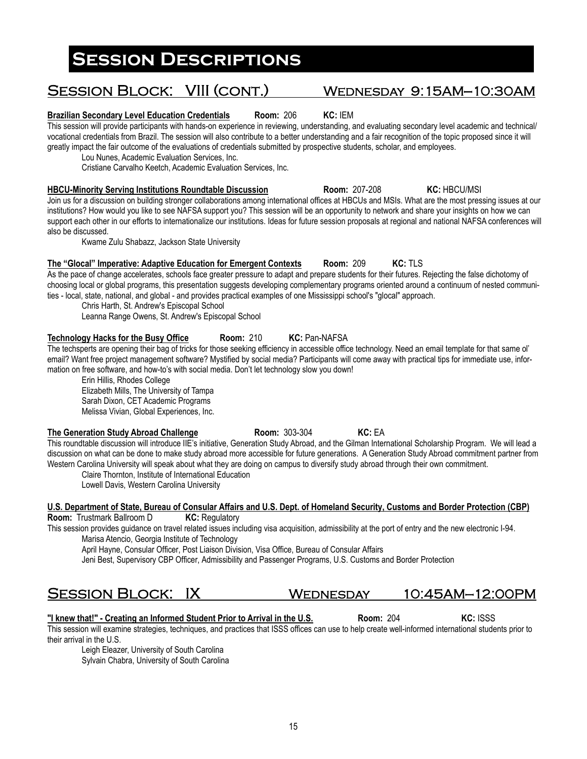#### **Brazilian Secondary Level Education Credentials Room:** 206 **KC:** IEM

This session will provide participants with hands-on experience in reviewing, understanding, and evaluating secondary level academic and technical/ vocational credentials from Brazil. The session will also contribute to a better understanding and a fair recognition of the topic proposed since it will greatly impact the fair outcome of the evaluations of credentials submitted by prospective students, scholar, and employees.

Lou Nunes, Academic Evaluation Services, Inc.

Cristiane Carvalho Keetch, Academic Evaluation Services, Inc.

**HBCU-Minority Serving Institutions Roundtable Discussion Room:** 207-208 **KC:** HBCU/MSI Join us for a discussion on building stronger collaborations among international offices at HBCUs and MSIs. What are the most pressing issues at our institutions? How would you like to see NAFSA support you? This session will be an opportunity to network and share your insights on how we can support each other in our efforts to internationalize our institutions. Ideas for future session proposals at regional and national NAFSA conferences will also be discussed.

Kwame Zulu Shabazz, Jackson State University

### **The "Glocal" Imperative: Adaptive Education for Emergent Contexts Room:** 209 **KC:** TLS

As the pace of change accelerates, schools face greater pressure to adapt and prepare students for their futures. Rejecting the false dichotomy of choosing local or global programs, this presentation suggests developing complementary programs oriented around a continuum of nested communities - local, state, national, and global - and provides practical examples of one Mississippi school's "glocal" approach.

Chris Harth, St. Andrew's Episcopal School Leanna Range Owens, St. Andrew's Episcopal School

### **Technology Hacks for the Busy Office Room:** 210 **KC:** Pan-NAFSA

The techsperts are opening their bag of tricks for those seeking efficiency in accessible office technology. Need an email template for that same ol' email? Want free project management software? Mystified by social media? Participants will come away with practical tips for immediate use, information on free software, and how-to's with social media. Don't let technology slow you down!

Erin Hillis, Rhodes College Elizabeth Mills, The University of Tampa Sarah Dixon, CET Academic Programs Melissa Vivian, Global Experiences, Inc.

### **The Generation Study Abroad Challenge Room:** 303-304 **KC:** EA

This roundtable discussion will introduce IIE's initiative, Generation Study Abroad, and the Gilman International Scholarship Program. We will lead a discussion on what can be done to make study abroad more accessible for future generations. A Generation Study Abroad commitment partner from Western Carolina University will speak about what they are doing on campus to diversify study abroad through their own commitment.

Claire Thornton, Institute of International Education Lowell Davis, Western Carolina University

#### **U.S. Department of State, Bureau of Consular Affairs and U.S. Dept. of Homeland Security, Customs and Border Protection (CBP) Room:** Trustmark Ballroom D **KC: Regulatory**

This session provides guidance on travel related issues including visa acquisition, admissibility at the port of entry and the new electronic I-94. Marisa Atencio, Georgia Institute of Technology

April Hayne, Consular Officer, Post Liaison Division, Visa Office, Bureau of Consular Affairs

Jeni Best, Supervisory CBP Officer, Admissibility and Passenger Programs, U.S. Customs and Border Protection

Session Block: IX Wednesday 10:45AM—12:00PM

**"I knew that!" - Creating an Informed Student Prior to Arrival in the U.S. Room: 204 KC: ISSS** 

This session will examine strategies, techniques, and practices that ISSS offices can use to help create well-informed international students prior to their arrival in the U.S.

Leigh Eleazer, University of South Carolina Sylvain Chabra, University of South Carolina

### Session Block: VIII (cont.) Wednesday 9:15AM—10:30AM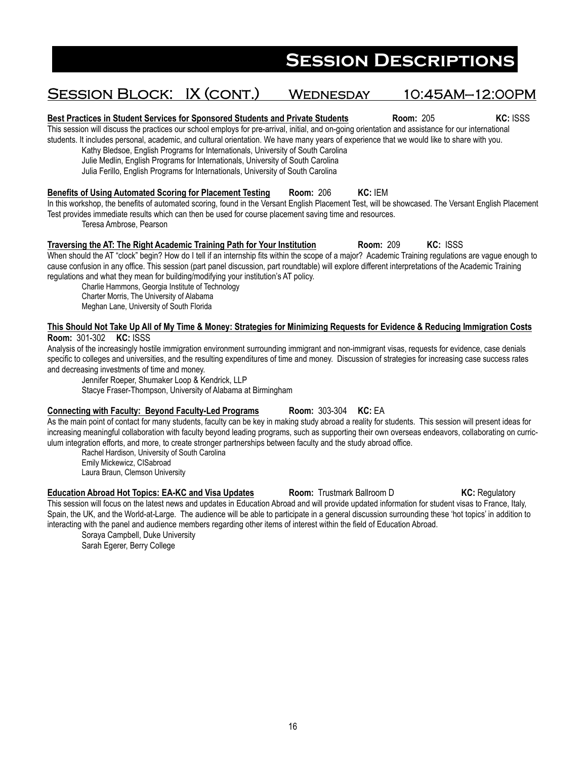## SESSION BLOCK: IX (CONT.) WEDNESDAY 10:45AM-12:00PM

**Best Practices in Student Services for Sponsored Students and Private Students <b>Room:** 205 **KC: ISSS** This session will discuss the practices our school employs for pre-arrival, initial, and on-going orientation and assistance for our international

students. It includes personal, academic, and cultural orientation. We have many years of experience that we would like to share with you.

Kathy Bledsoe, English Programs for Internationals, University of South Carolina

Julie Medlin, English Programs for Internationals, University of South Carolina

Julia Ferillo, English Programs for Internationals, University of South Carolina

#### **Benefits of Using Automated Scoring for Placement Testing Room:** 206 **KC:** IEM

In this workshop, the benefits of automated scoring, found in the Versant English Placement Test, will be showcased. The Versant English Placement Test provides immediate results which can then be used for course placement saving time and resources.

Teresa Ambrose, Pearson

#### **Traversing the AT: The Right Academic Training Path for Your Institution <b>Room: 209 KC: ISSS**

When should the AT "clock" begin? How do I tell if an internship fits within the scope of a major? Academic Training regulations are vague enough to cause confusion in any office. This session (part panel discussion, part roundtable) will explore different interpretations of the Academic Training regulations and what they mean for building/modifying your institution's AT policy.

Charlie Hammons, Georgia Institute of Technology Charter Morris, The University of Alabama Meghan Lane, University of South Florida

#### **This Should Not Take Up All of My Time & Money: Strategies for Minimizing Requests for Evidence & Reducing Immigration Costs Room:** 301-302 **KC:** ISSS

Analysis of the increasingly hostile immigration environment surrounding immigrant and non-immigrant visas, requests for evidence, case denials specific to colleges and universities, and the resulting expenditures of time and money. Discussion of strategies for increasing case success rates and decreasing investments of time and money.

Jennifer Roeper, Shumaker Loop & Kendrick, LLP

Stacye Fraser-Thompson, University of Alabama at Birmingham

#### **Connecting with Faculty: Beyond Faculty-Led Programs Room: 303-304 KC: EA**

As the main point of contact for many students, faculty can be key in making study abroad a reality for students. This session will present ideas for increasing meaningful collaboration with faculty beyond leading programs, such as supporting their own overseas endeavors, collaborating on curriculum integration efforts, and more, to create stronger partnerships between faculty and the study abroad office.

Rachel Hardison, University of South Carolina

Emily Mickewicz, CISabroad Laura Braun, Clemson University

**Education Abroad Hot Topics: EA-KC and Visa Updates <b>Room:** Trustmark Ballroom D **KC: Regulatory** This session will focus on the latest news and updates in Education Abroad and will provide updated information for student visas to France, Italy, Spain, the UK, and the World-at-Large. The audience will be able to participate in a general discussion surrounding these 'hot topics' in addition to interacting with the panel and audience members regarding other items of interest within the field of Education Abroad.

Soraya Campbell, Duke University Sarah Egerer, Berry College